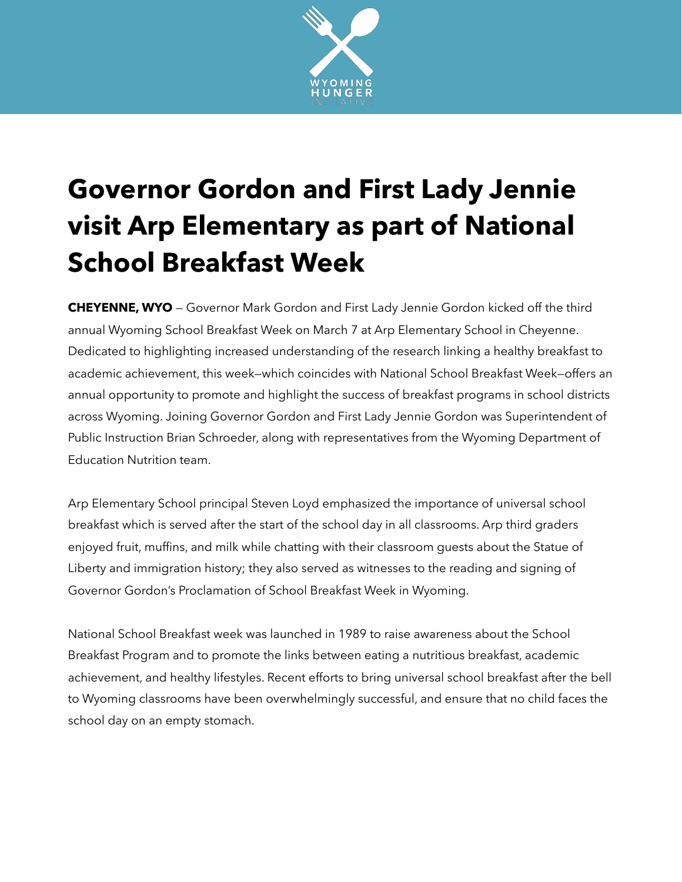

## **Governor Gordon and First Lady Jennie visit Arp Elementary as part of National School Breakfast Week**

**CHEYENNE, WYO** — Governor Mark Gordon and First Lady Jennie Gordon kicked off the third annual Wyoming School Breakfast Week on March 7 at Arp Elementary School in Cheyenne. Dedicated to highlighting increased understanding of the research linking a healthy breakfast to academic achievement, this week—which coincides with National School Breakfast Week—offers an annual opportunity to promote and highlight the success of breakfast programs in school districts across Wyoming. Joining Governor Gordon and First Lady Jennie Gordon was Superintendent of Public Instruction Brian Schroeder, along with representatives from the Wyoming Department of Education Nutrition team.

Arp Elementary School principal Steven Loyd emphasized the importance of universal school breakfast which is served after the start of the school day in all classrooms. Arp third graders enjoyed fruit, muffins, and milk while chatting with their classroom guests about the Statue of Liberty and immigration history; they also served as witnesses to the reading and signing of Governor Gordon's Proclamation of School Breakfast Week in Wyoming.

National School Breakfast week was launched in 1989 to raise awareness about the School Breakfast Program and to promote the links between eating a nutritious breakfast, academic achievement, and healthy lifestyles. Recent efforts to bring universal school breakfast after the bell to Wyoming classrooms have been overwhelmingly successful, and ensure that no child faces the school day on an empty stomach.